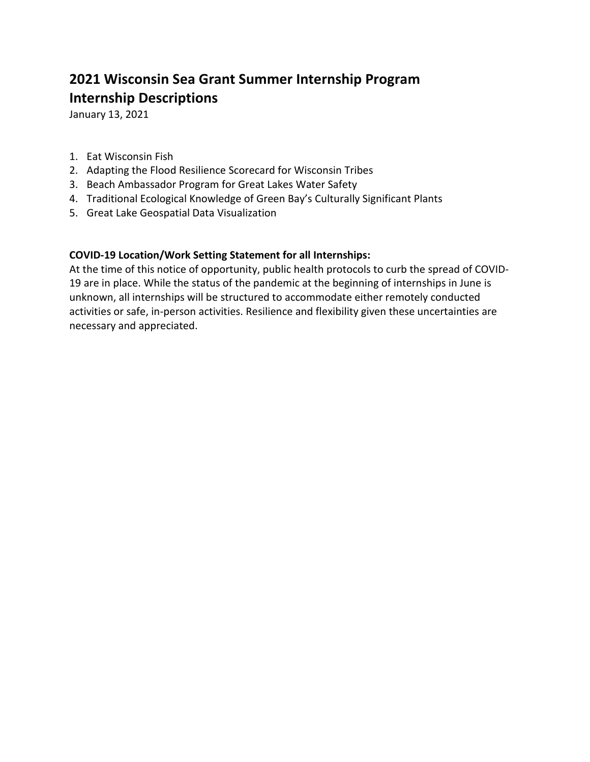# **2021 Wisconsin Sea Grant Summer Internship Program Internship Descriptions**

January 13, 2021

- 1. Eat Wisconsin Fish
- 2. Adapting the Flood Resilience Scorecard for Wisconsin Tribes
- 3. Beach Ambassador Program for Great Lakes Water Safety
- 4. Traditional Ecological Knowledge of Green Bay's Culturally Significant Plants
- 5. Great Lake Geospatial Data Visualization

# **COVID-19 Location/Work Setting Statement for all Internships:**

At the time of this notice of opportunity, public health protocols to curb the spread of COVID-19 are in place. While the status of the pandemic at the beginning of internships in June is unknown, all internships will be structured to accommodate either remotely conducted activities or safe, in-person activities. Resilience and flexibility given these uncertainties are necessary and appreciated.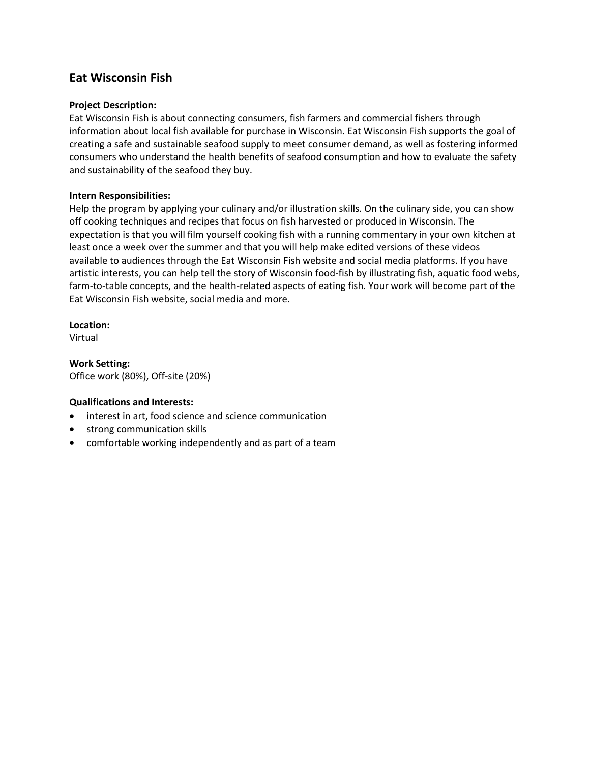# **Eat Wisconsin Fish**

#### **Project Description:**

Eat Wisconsin Fish is about connecting consumers, fish farmers and commercial fishers through information about local fish available for purchase in Wisconsin. Eat Wisconsin Fish supports the goal of creating a safe and sustainable seafood supply to meet consumer demand, as well as fostering informed consumers who understand the health benefits of seafood consumption and how to evaluate the safety and sustainability of the seafood they buy.

#### **Intern Responsibilities:**

Help the program by applying your culinary and/or illustration skills. On the culinary side, you can show off cooking techniques and recipes that focus on fish harvested or produced in Wisconsin. The expectation is that you will film yourself cooking fish with a running commentary in your own kitchen at least once a week over the summer and that you will help make edited versions of these videos available to audiences through the Eat Wisconsin Fish website and social media platforms. If you have artistic interests, you can help tell the story of Wisconsin food-fish by illustrating fish, aquatic food webs, farm-to-table concepts, and the health-related aspects of eating fish. Your work will become part of the Eat Wisconsin Fish website, social media and more.

**Location:**

Virtual

**Work Setting:** Office work (80%), Off-site (20%)

## **Qualifications and Interests:**

- interest in art, food science and science communication
- strong communication skills
- comfortable working independently and as part of a team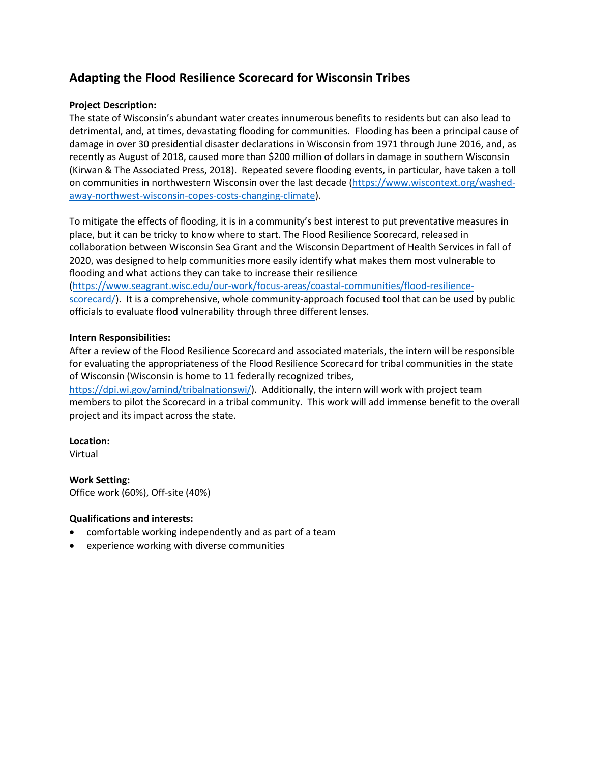# **Adapting the Flood Resilience Scorecard for Wisconsin Tribes**

### **Project Description:**

The state of Wisconsin's abundant water creates innumerous benefits to residents but can also lead to detrimental, and, at times, devastating flooding for communities. Flooding has been a principal cause of damage in over 30 presidential disaster declarations in Wisconsin from 1971 through June 2016, and, as recently as August of 2018, caused more than \$200 million of dollars in damage in southern Wisconsin (Kirwan & The Associated Press, 2018). Repeated severe flooding events, in particular, have taken a toll on communities in northwestern Wisconsin over the last decade [\(https://www.wiscontext.org/washed](https://www.wiscontext.org/washed-away-northwest-wisconsin-copes-costs-changing-climate)[away-northwest-wisconsin-copes-costs-changing-climate\)](https://www.wiscontext.org/washed-away-northwest-wisconsin-copes-costs-changing-climate).

To mitigate the effects of flooding, it is in a community's best interest to put preventative measures in place, but it can be tricky to know where to start. The Flood Resilience Scorecard, released in collaboration between Wisconsin Sea Grant and the Wisconsin Department of Health Services in fall of 2020, was designed to help communities more easily identify what makes them most vulnerable to flooding and what actions they can take to increase their resilience [\(https://www.seagrant.wisc.edu/our-work/focus-areas/coastal-communities/flood-resilience](https://www.seagrant.wisc.edu/our-work/focus-areas/coastal-communities/flood-resilience-scorecard/)[scorecard/\)](https://www.seagrant.wisc.edu/our-work/focus-areas/coastal-communities/flood-resilience-scorecard/). It is a comprehensive, whole community-approach focused tool that can be used by public officials to evaluate flood vulnerability through three different lenses.

#### **Intern Responsibilities:**

After a review of the Flood Resilience Scorecard and associated materials, the intern will be responsible for evaluating the appropriateness of the Flood Resilience Scorecard for tribal communities in the state of Wisconsin (Wisconsin is home to 11 federally recognized tribes,

[https://dpi.wi.gov/amind/tribalnationswi/\)](https://dpi.wi.gov/amind/tribalnationswi/). Additionally, the intern will work with project team members to pilot the Scorecard in a tribal community. This work will add immense benefit to the overall project and its impact across the state.

#### **Location:**

Virtual

**Work Setting:** Office work (60%), Off-site (40%)

#### **Qualifications and interests:**

- comfortable working independently and as part of a team
- experience working with diverse communities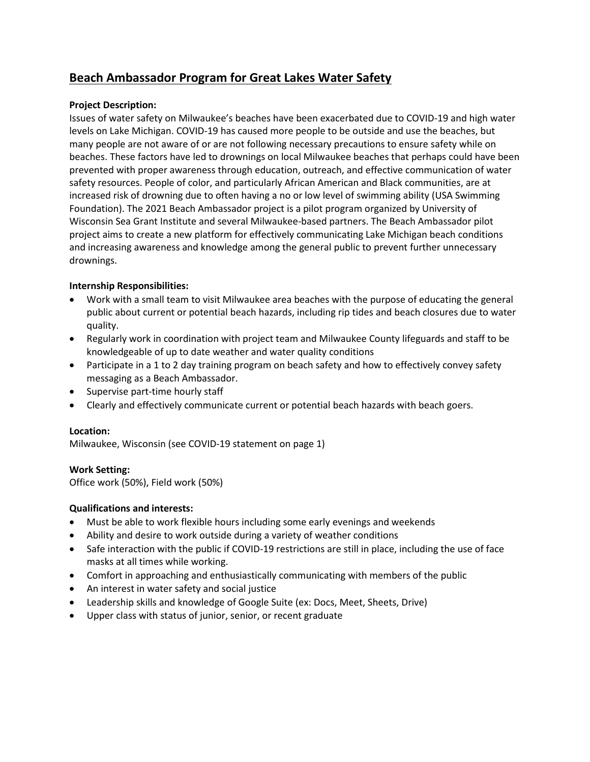# **Beach Ambassador Program for Great Lakes Water Safety**

### **Project Description:**

Issues of water safety on Milwaukee's beaches have been exacerbated due to COVID-19 and high water levels on Lake Michigan. COVID-19 has caused more people to be outside and use the beaches, but many people are not aware of or are not following necessary precautions to ensure safety while on beaches. These factors have led to drownings on local Milwaukee beaches that perhaps could have been prevented with proper awareness through education, outreach, and effective communication of water safety resources. People of color, and particularly African American and Black communities, are at increased risk of drowning due to often having a no or low level of swimming ability (USA Swimming Foundation). The 2021 Beach Ambassador project is a pilot program organized by University of Wisconsin Sea Grant Institute and several Milwaukee-based partners. The Beach Ambassador pilot project aims to create a new platform for effectively communicating Lake Michigan beach conditions and increasing awareness and knowledge among the general public to prevent further unnecessary drownings.

#### **Internship Responsibilities:**

- Work with a small team to visit Milwaukee area beaches with the purpose of educating the general public about current or potential beach hazards, including rip tides and beach closures due to water quality.
- Regularly work in coordination with project team and Milwaukee County lifeguards and staff to be knowledgeable of up to date weather and water quality conditions
- Participate in a 1 to 2 day training program on beach safety and how to effectively convey safety messaging as a Beach Ambassador.
- Supervise part-time hourly staff
- Clearly and effectively communicate current or potential beach hazards with beach goers.

#### **Location:**

Milwaukee, Wisconsin (see COVID-19 statement on page 1)

#### **Work Setting:**

Office work (50%), Field work (50%)

#### **Qualifications and interests:**

- Must be able to work flexible hours including some early evenings and weekends
- Ability and desire to work outside during a variety of weather conditions
- Safe interaction with the public if COVID-19 restrictions are still in place, including the use of face masks at all times while working.
- Comfort in approaching and enthusiastically communicating with members of the public
- An interest in water safety and social justice
- Leadership skills and knowledge of Google Suite (ex: Docs, Meet, Sheets, Drive)
- Upper class with status of junior, senior, or recent graduate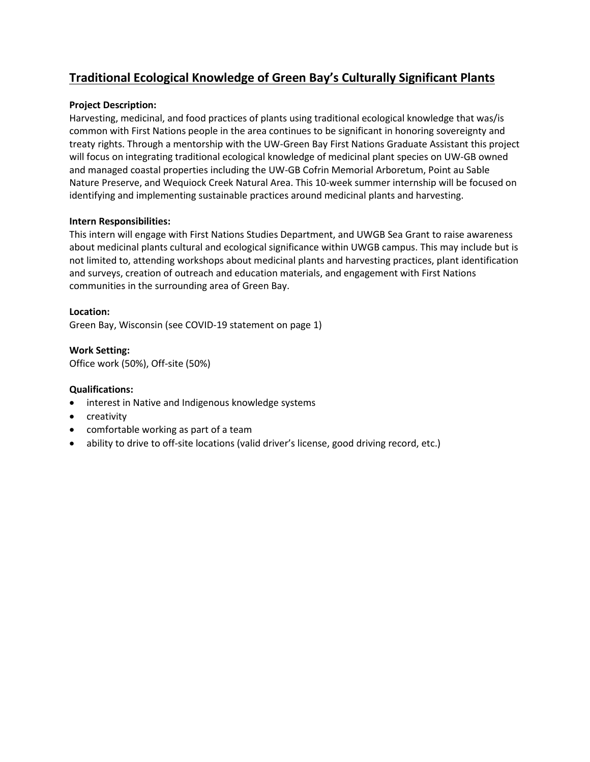# **Traditional Ecological Knowledge of Green Bay's Culturally Significant Plants**

### **Project Description:**

Harvesting, medicinal, and food practices of plants using traditional ecological knowledge that was/is common with First Nations people in the area continues to be significant in honoring sovereignty and treaty rights. Through a mentorship with the UW-Green Bay First Nations Graduate Assistant this project will focus on integrating traditional ecological knowledge of medicinal plant species on UW-GB owned and managed coastal properties including the UW-GB Cofrin Memorial Arboretum, Point au Sable Nature Preserve, and Wequiock Creek Natural Area. This 10-week summer internship will be focused on identifying and implementing sustainable practices around medicinal plants and harvesting.

#### **Intern Responsibilities:**

This intern will engage with First Nations Studies Department, and UWGB Sea Grant to raise awareness about medicinal plants cultural and ecological significance within UWGB campus. This may include but is not limited to, attending workshops about medicinal plants and harvesting practices, plant identification and surveys, creation of outreach and education materials, and engagement with First Nations communities in the surrounding area of Green Bay.

#### **Location:**

Green Bay, Wisconsin (see COVID-19 statement on page 1)

**Work Setting:** Office work (50%), Off-site (50%)

## **Qualifications:**

- interest in Native and Indigenous knowledge systems
- creativity
- comfortable working as part of a team
- ability to drive to off-site locations (valid driver's license, good driving record, etc.)